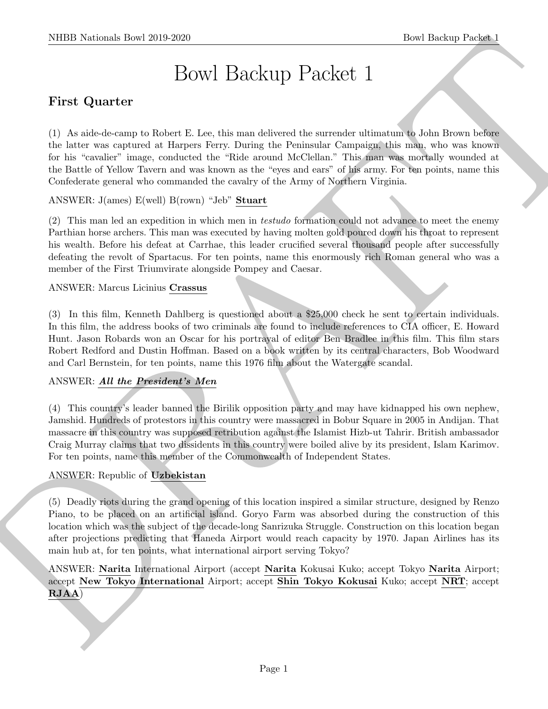# Bowl Backup Packet 1

# First Quarter

(1) As aide-de-camp to Robert E. Lee, this man delivered the surrender ultimatum to John Brown before the latter was captured at Harpers Ferry. During the Peninsular Campaign, this man, who was known for his "cavalier" image, conducted the "Ride around McClellan." This man was mortally wounded at the Battle of Yellow Tavern and was known as the "eyes and ears" of his army. For ten points, name this Confederate general who commanded the cavalry of the Army of Northern Virginia.

ANSWER: J(ames) E(well) B(rown) "Jeb" Stuart

(2) This man led an expedition in which men in testudo formation could not advance to meet the enemy Parthian horse archers. This man was executed by having molten gold poured down his throat to represent his wealth. Before his defeat at Carrhae, this leader crucified several thousand people after successfully defeating the revolt of Spartacus. For ten points, name this enormously rich Roman general who was a member of the First Triumvirate alongside Pompey and Caesar.

# ANSWER: Marcus Licinius Crassus

(3) In this film, Kenneth Dahlberg is questioned about a \$25,000 check he sent to certain individuals. In this film, the address books of two criminals are found to include references to CIA officer, E. Howard Hunt. Jason Robards won an Oscar for his portrayal of editor Ben Bradlee in this film. This film stars Robert Redford and Dustin Hoffman. Based on a book written by its central characters, Bob Woodward and Carl Bernstein, for ten points, name this 1976 film about the Watergate scandal.

# ANSWER: All the President's Men

(4) This country's leader banned the Birilik opposition party and may have kidnapped his own nephew, Jamshid. Hundreds of protestors in this country were massacred in Bobur Square in 2005 in Andijan. That massacre in this country was supposed retribution against the Islamist Hizb-ut Tahrir. British ambassador Craig Murray claims that two dissidents in this country were boiled alive by its president, Islam Karimov. For ten points, name this member of the Commonwealth of Independent States.

# ANSWER: Republic of Uzbekistan

SIIDE Notional- how 2019-2020<br>
Bowl Holen, The Same Edse of the member of the member of the same of the same of the same of the Same of the Same<br>
U. An absolute one produces a linear particular the Probability Control of (5) Deadly riots during the grand opening of this location inspired a similar structure, designed by Renzo Piano, to be placed on an artificial island. Goryo Farm was absorbed during the construction of this location which was the subject of the decade-long Sanrizuka Struggle. Construction on this location began after projections predicting that Haneda Airport would reach capacity by 1970. Japan Airlines has its main hub at, for ten points, what international airport serving Tokyo?

ANSWER: Narita International Airport (accept Narita Kokusai Kuko; accept Tokyo Narita Airport; accept New Tokyo International Airport; accept Shin Tokyo Kokusai Kuko; accept NRT; accept  ${\bf RJAA)}$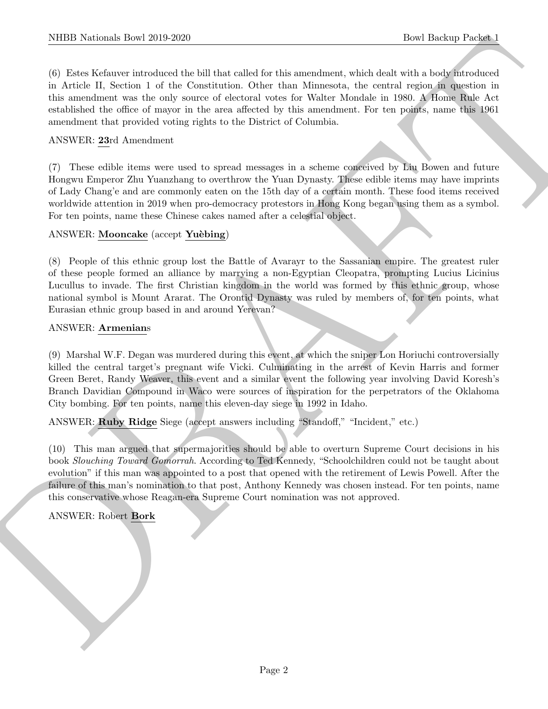(6) Estes Kefauver introduced the bill that called for this amendment, which dealt with a body introduced in Article II, Section 1 of the Constitution. Other than Minnesota, the central region in question in this amendment was the only source of electoral votes for Walter Mondale in 1980. A Home Rule Act established the office of mayor in the area affected by this amendment. For ten points, name this 1961 amendment that provided voting rights to the District of Columbia.

# ANSWER: 23rd Amendment

(7) These edible items were used to spread messages in a scheme conceived by Liu Bowen and future Hongwu Emperor Zhu Yuanzhang to overthrow the Yuan Dynasty. These edible items may have imprints of Lady Chang'e and are commonly eaten on the 15th day of a certain month. These food items received worldwide attention in 2019 when pro-democracy protestors in Hong Kong began using them as a symbol. For ten points, name these Chinese cakes named after a celestial object.

# ANSWER: Mooncake (accept Yuèbing)

(8) People of this ethnic group lost the Battle of Avarayr to the Sassanian empire. The greatest ruler of these people formed an alliance by marrying a non-Egyptian Cleopatra, prompting Lucius Licinius Lucullus to invade. The first Christian kingdom in the world was formed by this ethnic group, whose national symbol is Mount Ararat. The Orontid Dynasty was ruled by members of, for ten points, what Eurasian ethnic group based in and around Yerevan?

# ANSWER: Armenians

NIBB Notionals how 2010-2020<br>
(b) latest and an interaction and for the same<br>distribution of the Covernment Covernment of the control spin of the<br>same specified and the covernment of the Covernment Occurs that the Newton, (9) Marshal W.F. Degan was murdered during this event, at which the sniper Lon Horiuchi controversially killed the central target's pregnant wife Vicki. Culminating in the arrest of Kevin Harris and former Green Beret, Randy Weaver, this event and a similar event the following year involving David Koresh's Branch Davidian Compound in Waco were sources of inspiration for the perpetrators of the Oklahoma City bombing. For ten points, name this eleven-day siege in 1992 in Idaho.

ANSWER: Ruby Ridge Siege (accept answers including "Standoff," "Incident," etc.)

(10) This man argued that supermajorities should be able to overturn Supreme Court decisions in his book Slouching Toward Gomorrah. According to Ted Kennedy, "Schoolchildren could not be taught about evolution" if this man was appointed to a post that opened with the retirement of Lewis Powell. After the failure of this man's nomination to that post, Anthony Kennedy was chosen instead. For ten points, name this conservative whose Reagan-era Supreme Court nomination was not approved.

ANSWER: Robert Bork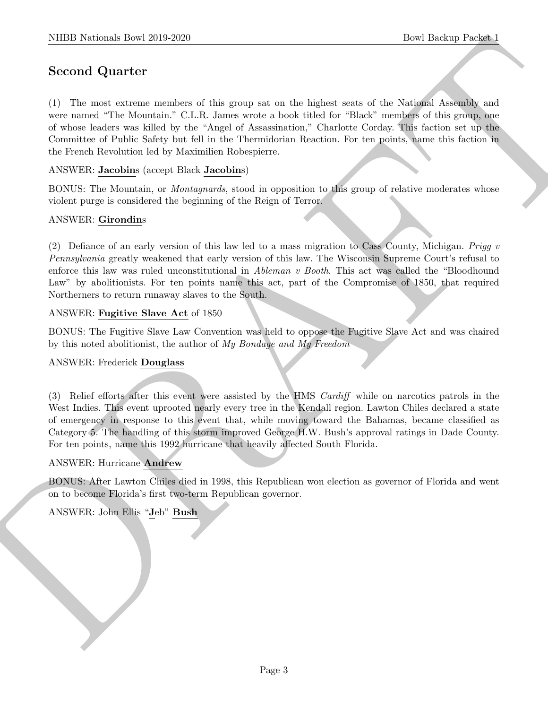# Second Quarter

SIBBI Notionals how 2019-2020.<br>
Second Quarter <br>
Second Quarter <br>
Second Quarter <br>
Second Quarter is the same of this gauge of on the dighest sets of the Awissian Associate and<br>
we cannot the Montrain CCR, dense a roots l (1) The most extreme members of this group sat on the highest seats of the National Assembly and were named "The Mountain." C.L.R. James wrote a book titled for "Black" members of this group, one of whose leaders was killed by the "Angel of Assassination," Charlotte Corday. This faction set up the Committee of Public Safety but fell in the Thermidorian Reaction. For ten points, name this faction in the French Revolution led by Maximilien Robespierre.

ANSWER: Jacobins (accept Black Jacobins)

BONUS: The Mountain, or *Montagnards*, stood in opposition to this group of relative moderates whose violent purge is considered the beginning of the Reign of Terror.

# ANSWER: Girondins

(2) Defiance of an early version of this law led to a mass migration to Cass County, Michigan. Prigg  $v$ Pennsylvania greatly weakened that early version of this law. The Wisconsin Supreme Court's refusal to enforce this law was ruled unconstitutional in Ableman v Booth. This act was called the "Bloodhound Law" by abolitionists. For ten points name this act, part of the Compromise of 1850, that required Northerners to return runaway slaves to the South.

#### ANSWER: Fugitive Slave Act of 1850

BONUS: The Fugitive Slave Law Convention was held to oppose the Fugitive Slave Act and was chaired by this noted abolitionist, the author of My Bondage and My Freedom

#### ANSWER: Frederick Douglass

(3) Relief efforts after this event were assisted by the HMS Cardiff while on narcotics patrols in the West Indies. This event uprooted nearly every tree in the Kendall region. Lawton Chiles declared a state of emergency in response to this event that, while moving toward the Bahamas, became classified as Category 5. The handling of this storm improved George H.W. Bush's approval ratings in Dade County. For ten points, name this 1992 hurricane that heavily affected South Florida.

#### ANSWER: Hurricane Andrew

BONUS: After Lawton Chiles died in 1998, this Republican won election as governor of Florida and went on to become Florida's first two-term Republican governor.

ANSWER: John Ellis "Jeb" Bush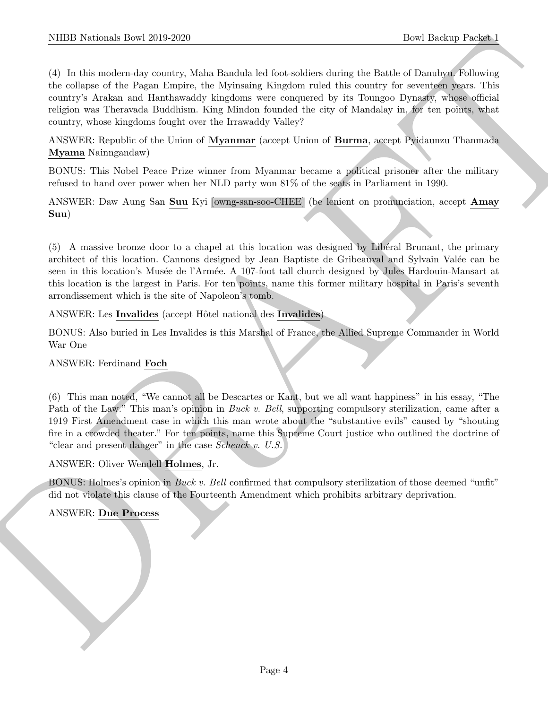NIBB Notionals how 2019-2020.<br>
The Hosting Present (b) (2019-2020)<br>
(b) In this moderation, while Boundarius between the of this corresponds the<br>strength of the strength of the Street Euckle Markov control the corresponds (4) In this modern-day country, Maha Bandula led foot-soldiers during the Battle of Danubyu. Following the collapse of the Pagan Empire, the Myinsaing Kingdom ruled this country for seventeen years. This country's Arakan and Hanthawaddy kingdoms were conquered by its Toungoo Dynasty, whose official religion was Theravada Buddhism. King Mindon founded the city of Mandalay in, for ten points, what country, whose kingdoms fought over the Irrawaddy Valley?

ANSWER: Republic of the Union of Myanmar (accept Union of Burma, accept Pyidaunzu Thanmada Myama Nainngandaw)

BONUS: This Nobel Peace Prize winner from Myanmar became a political prisoner after the military refused to hand over power when her NLD party won 81% of the seats in Parliament in 1990.

ANSWER: Daw Aung San Suu Kyi [owng-san-soo-CHEE] (be lenient on pronunciation, accept Amay Suu)

(5) A massive bronze door to a chapel at this location was designed by Lib´eral Brunant, the primary architect of this location. Cannons designed by Jean Baptiste de Gribeauval and Sylvain Valée can be seen in this location's Musée de l'Armée. A 107-foot tall church designed by Jules Hardouin-Mansart at this location is the largest in Paris. For ten points, name this former military hospital in Paris's seventh arrondissement which is the site of Napoleon's tomb.

ANSWER: Les Invalides (accept Hôtel national des Invalides)

BONUS: Also buried in Les Invalides is this Marshal of France, the Allied Supreme Commander in World War One

#### ANSWER: Ferdinand Foch

(6) This man noted, "We cannot all be Descartes or Kant, but we all want happiness" in his essay, "The Path of the Law." This man's opinion in *Buck v. Bell*, supporting compulsory sterilization, came after a 1919 First Amendment case in which this man wrote about the "substantive evils" caused by "shouting fire in a crowded theater." For ten points, name this Supreme Court justice who outlined the doctrine of "clear and present danger" in the case Schenck v. U.S.

ANSWER: Oliver Wendell Holmes, Jr.

BONUS: Holmes's opinion in *Buck v. Bell* confirmed that compulsory sterilization of those deemed "unfit" did not violate this clause of the Fourteenth Amendment which prohibits arbitrary deprivation.

#### ANSWER: Due Process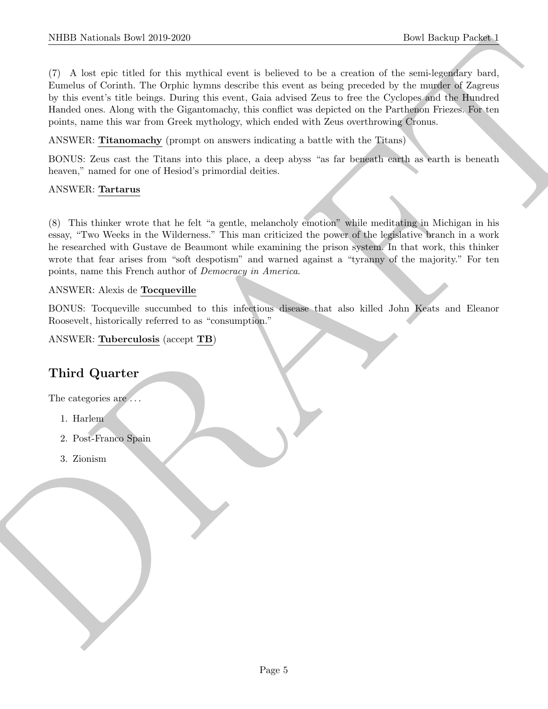NIBB Notional: Davi 2010-2020<br>
The United Social Life is actual studied with a behind to be a continue of the results of the model of Appendix<br>
The value of Correla, The Ophis Eyers describe this event is help possible if (7) A lost epic titled for this mythical event is believed to be a creation of the semi-legendary bard, Eumelus of Corinth. The Orphic hymns describe this event as being preceded by the murder of Zagreus by this event's title beings. During this event, Gaia advised Zeus to free the Cyclopes and the Hundred Handed ones. Along with the Gigantomachy, this conflict was depicted on the Parthenon Friezes. For ten points, name this war from Greek mythology, which ended with Zeus overthrowing Cronus.

ANSWER: Titanomachy (prompt on answers indicating a battle with the Titans)

BONUS: Zeus cast the Titans into this place, a deep abyss "as far beneath earth as earth is beneath heaven," named for one of Hesiod's primordial deities.

# ANSWER: Tartarus

(8) This thinker wrote that he felt "a gentle, melancholy emotion" while meditating in Michigan in his essay, "Two Weeks in the Wilderness." This man criticized the power of the legislative branch in a work he researched with Gustave de Beaumont while examining the prison system. In that work, this thinker wrote that fear arises from "soft despotism" and warned against a "tyranny of the majority." For ten points, name this French author of Democracy in America.

# ANSWER: Alexis de Tocqueville

BONUS: Tocqueville succumbed to this infectious disease that also killed John Keats and Eleanor Roosevelt, historically referred to as "consumption."

ANSWER: Tuberculosis (accept TB)

# Third Quarter

The categories are  $\dots$ 

- 1. Harlem
- 2. Post-Franco Spain
- 3. Zionism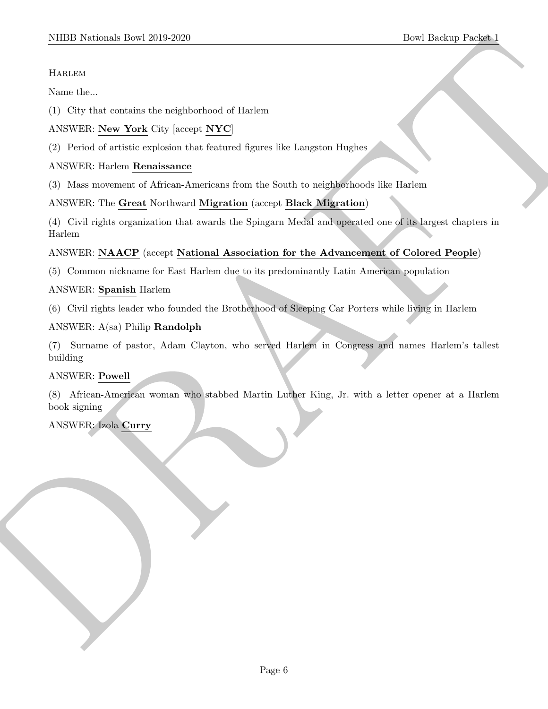# Harlem

Name the...

(1) City that contains the neighborhood of Harlem

# ANSWER: New York City [accept NYC]

(2) Period of artistic explosion that featured figures like Langston Hughes

# ANSWER: Harlem Renaissance

(3) Mass movement of African-Americans from the South to neighborhoods like Harlem

# ANSWER: The Great Northward Migration (accept Black Migration)

SIDDI Neidonal: Boeil 2019-2020<br>
Hotel Boeilne<br>
Hotel Schen (1) Chy that current<br>in the architectrical of Harter Care (2) (1) Chy that current<br>
(2) Portical of a state exploration that the neural direction are shown in th (4) Civil rights organization that awards the Spingarn Medal and operated one of its largest chapters in Harlem

# ANSWER: NAACP (accept National Association for the Advancement of Colored People)

(5) Common nickname for East Harlem due to its predominantly Latin American population

#### ANSWER: Spanish Harlem

(6) Civil rights leader who founded the Brotherhood of Sleeping Car Porters while living in Harlem

# ANSWER: A(sa) Philip Randolph

(7) Surname of pastor, Adam Clayton, who served Harlem in Congress and names Harlem's tallest building

#### ANSWER: Powell

(8) African-American woman who stabbed Martin Luther King, Jr. with a letter opener at a Harlem book signing

# ANSWER: Izola Curry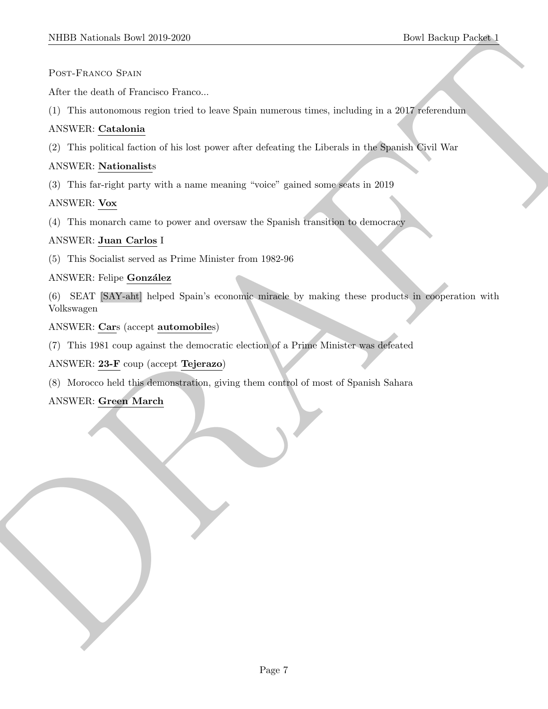#### Post-Franco Spain

After the death of Francisco Franco...

(1) This autonomous region tried to leave Spain numerous times, including in a 2017 referendum

# ANSWER: Catalonia

(2) This political faction of his lost power after defeating the Liberals in the Spanish Civil War

# ANSWER: Nationalists

(3) This far-right party with a name meaning "voice" gained some seats in 2019

# ANSWER: Vox

(4) This monarch came to power and oversaw the Spanish transition to democracy

# ANSWER: Juan Carlos I

(5) This Socialist served as Prime Minister from 1982-96

# ANSWER: Felipe González

MIDD Notional: Deal 2019 2209<br>
Post-Packaco Stats<br>
Andre de stats of Francisco Franco.<br>
Andre de stats of Franco Franco.<br>
ANNY RE Contaction Francisco Franco.<br>
ANNY RE Contaction of the fact power and one show in the state (6) SEAT [SAY-aht] helped Spain's economic miracle by making these products in cooperation with Volkswagen

# ANSWER: Cars (accept automobiles)

(7) This 1981 coup against the democratic election of a Prime Minister was defeated

ANSWER: 23-F coup (accept Tejerazo)

(8) Morocco held this demonstration, giving them control of most of Spanish Sahara

# ANSWER: Green March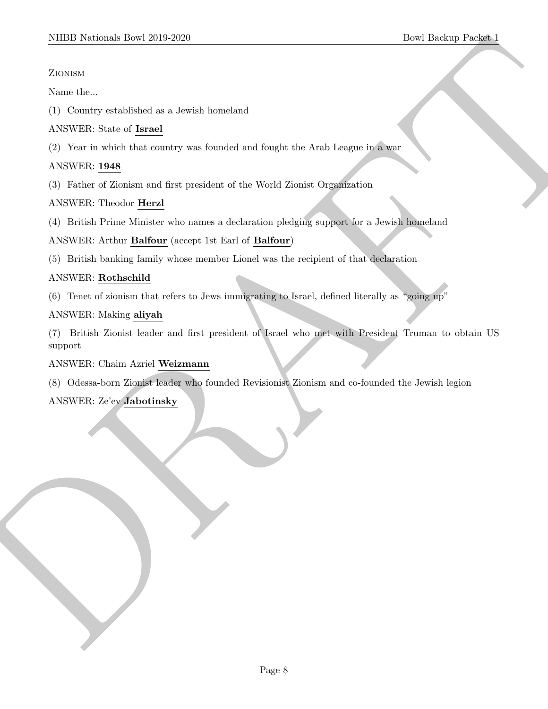# Zionism

Name the...

(1) Country established as a Jewish homeland

# ANSWER: State of Israel

(2) Year in which that country was founded and fought the Arab League in a war

# ANSWER: 1948

(3) Father of Zionism and first president of the World Zionist Organization

# ANSWER: Theodor Herzl

(4) British Prime Minister who names a declaration pledging support for a Jewish homeland

# ANSWER: Arthur Balfour (accept 1st Earl of Balfour)

(5) British banking family whose member Lionel was the recipient of that declaration

# ANSWER: Rothschild

(6) Tenet of zionism that refers to Jews immigrating to Israel, defined literally as "going up"

# ANSWER: Making aliyah

SIDDI Notional: Deel 2019-2020<br>
Zorsuzz<br>
Zorsuzz<br>
2008-2021<br>
2008-2022<br>
Now the signal distribution of the street of the street of the street of the street of the street of the street of the street of the street of the st (7) British Zionist leader and first president of Israel who met with President Truman to obtain US support

# ANSWER: Chaim Azriel Weizmann

(8) Odessa-born Zionist leader who founded Revisionist Zionism and co-founded the Jewish legion

# ANSWER: Ze'ev Jabotinsky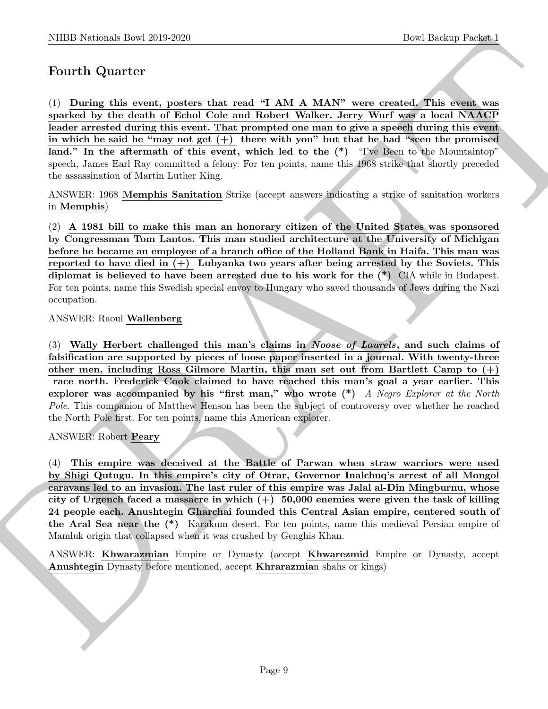# Fourth Quarter

NIBB Notional- how 20:0 2020<br>
Down Hochima, the set in the set of the first of the set of the set of the set of the set of the set of the set of the set of the set of the set of the set of the set of the set of the set of (1) During this event, posters that read "I AM A MAN" were created. This event was sparked by the death of Echol Cole and Robert Walker. Jerry Wurf was a local NAACP leader arrested during this event. That prompted one man to give a speech during this event in which he said he "may not get  $(+)$  there with you" but that he had "seen the promised" land." In the aftermath of this event, which led to the  $(*)$  "I've Been to the Mountaintop" speech, James Earl Ray committed a felony. For ten points, name this 1968 strike that shortly preceded the assassination of Martin Luther King.

ANSWER: 1968 Memphis Sanitation Strike (accept answers indicating a strike of sanitation workers in Memphis)

(2) A 1981 bill to make this man an honorary citizen of the United States was sponsored by Congressman Tom Lantos. This man studied architecture at the University of Michigan before he became an employee of a branch office of the Holland Bank in Haifa. This man was reported to have died in  $(+)$  Lubyanka two years after being arrested by the Soviets. This diplomat is believed to have been arrested due to his work for the (\*) CIA while in Budapest. For ten points, name this Swedish special envoy to Hungary who saved thousands of Jews during the Nazi occupation.

#### ANSWER: Raoul Wallenberg

(3) Wally Herbert challenged this man's claims in Noose of Laurels, and such claims of falsification are supported by pieces of loose paper inserted in a journal. With twenty-three other men, including Ross Gilmore Martin, this man set out from Bartlett Camp to  $(+)$ race north. Frederick Cook claimed to have reached this man's goal a year earlier. This explorer was accompanied by his "first man," who wrote  $(*)$  A Negro Explorer at the North Pole. This companion of Matthew Henson has been the subject of controversy over whether he reached the North Pole first. For ten points, name this American explorer.

#### ANSWER: Robert Peary

(4) This empire was deceived at the Battle of Parwan when straw warriors were used by Shigi Qutugu. In this empire's city of Otrar, Governor Inalchuq's arrest of all Mongol caravans led to an invasion. The last ruler of this empire was Jalal al-Din Mingburnu, whose city of Urgench faced a massacre in which  $(+)$  50,000 enemies were given the task of killing 24 people each. Anushtegin Gharchai founded this Central Asian empire, centered south of the Aral Sea near the (\*) Karakum desert. For ten points, name this medieval Persian empire of Mamluk origin that collapsed when it was crushed by Genghis Khan.

ANSWER: **Khwarazmian** Empire or Dynasty (accept **Khwarezmid** Empire or Dynasty, accept Anushtegin Dynasty before mentioned, accept **Khrarazmia**n shahs or kings)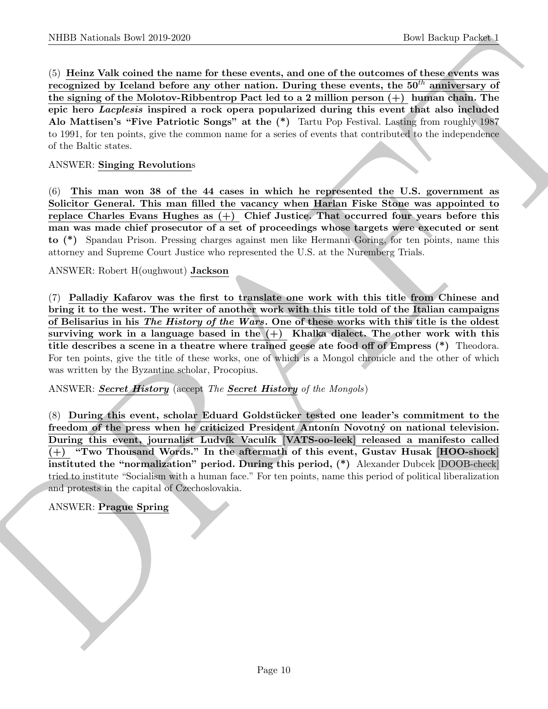(5) Heinz Valk coined the name for these events, and one of the outcomes of these events was recognized by Iceland before any other nation. During these events, the  $50<sup>th</sup>$  anniversary of the signing of the Molotov-Ribbentrop Pact led to a 2 million person  $(+)$  human chain. The epic hero Lacplesis inspired a rock opera popularized during this event that also included Alo Mattisen's "Five Patriotic Songs" at the (\*) Tartu Pop Festival. Lasting from roughly 1987 to 1991, for ten points, give the common name for a series of events that contributed to the independence of the Baltic states.

#### ANSWER: Singing Revolutions

(6) This man won 38 of the 44 cases in which he represented the U.S. government as Solicitor General. This man filled the vacancy when Harlan Fiske Stone was appointed to replace Charles Evans Hughes as  $(+)$  Chief Justice. That occurred four years before this man was made chief prosecutor of a set of proceedings whose targets were executed or sent to (\*) Spandau Prison. Pressing charges against men like Hermann Goring, for ten points, name this attorney and Supreme Court Justice who represented the U.S. at the Nuremberg Trials.

ANSWER: Robert H(oughwout) Jackson

NIBER Noticeals how 2019-2020<br>
Cost the summarized temperature and one of the cost theorem for the second of the second of the second of the second of the second of the second of the second of the second of the second of (7) Palladiy Kafarov was the first to translate one work with this title from Chinese and bring it to the west. The writer of another work with this title told of the Italian campaigns of Belisarius in his The History of the Wars. One of these works with this title is the oldest surviving work in a language based in the  $(+)$  Khalka dialect. The other work with this title describes a scene in a theatre where trained geese ate food off of Empress (\*) Theodora. For ten points, give the title of these works, one of which is a Mongol chronicle and the other of which was written by the Byzantine scholar, Procopius.

#### ANSWER: Secret History (accept The Secret History of the Mongols)

(8) During this event, scholar Eduard Goldstücker tested one leader's commitment to the freedom of the press when he criticized President Antonín Novotný on national television. During this event, journalist Ludvík Vaculík [VATS-oo-leek] released a manifesto called (+) "Two Thousand Words." In the aftermath of this event, Gustav Husak [HOO-shock] instituted the "normalization" period. During this period, (\*) Alexander Dubcek [DOOB-check] tried to institute "Socialism with a human face." For ten points, name this period of political liberalization and protests in the capital of Czechoslovakia.

#### ANSWER: Prague Spring